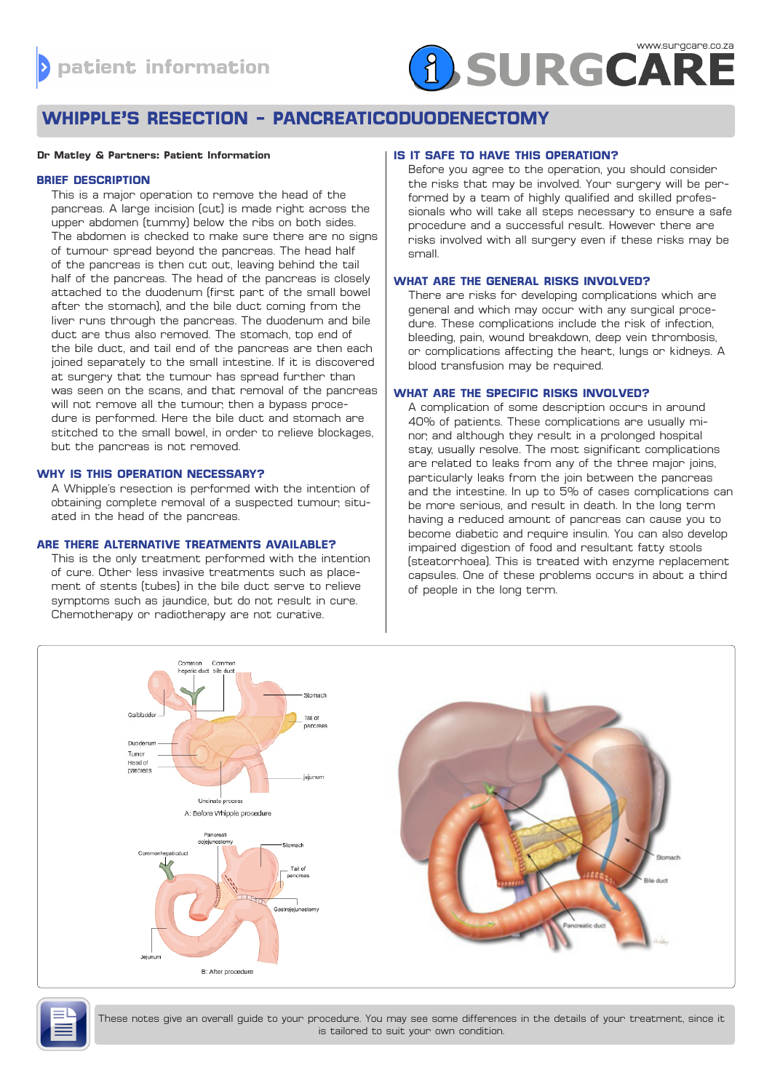# **A SURGCARE**

# **WHIPPLE'S RESECTION - PANCREATICODUODENECTOMY**

#### **Dr Matley & Partners: Patient Information**

# **BRIEF DESCRIPTION**

This is a major operation to remove the head of the pancreas. A large incision (cut) is made right across the upper abdomen (tummy) below the ribs on both sides. The abdomen is checked to make sure there are no signs of tumour spread beyond the pancreas. The head half of the pancreas is then cut out, leaving behind the tail half of the pancreas. The head of the pancreas is closely attached to the duodenum (first part of the small bowel after the stomach), and the bile duct coming from the liver runs through the pancreas. The duodenum and bile duct are thus also removed. The stomach, top end of the bile duct, and tail end of the pancreas are then each joined separately to the small intestine. If it is discovered at surgery that the tumour has spread further than was seen on the scans, and that removal of the pancreas will not remove all the tumour, then a bypass procedure is performed. Here the bile duct and stomach are stitched to the small bowel, in order to relieve blockages, but the pancreas is not removed.

#### **WHY IS THIS OPERATION NECESSARY?**

A Whipple's resection is performed with the intention of obtaining complete removal of a suspected tumour, situated in the head of the pancreas.

#### **ARE THERE ALTERNATIVE TREATMENTS AVAILABLE?**

This is the only treatment performed with the intention of cure. Other less invasive treatments such as placement of stents (tubes) in the bile duct serve to relieve symptoms such as jaundice, but do not result in cure. Chemotherapy or radiotherapy are not curative.

# **IS IT SAFE TO HAVE THIS OPERATION?**

Before you agree to the operation, you should consider the risks that may be involved. Your surgery will be performed by a team of highly qualified and skilled professionals who will take all steps necessary to ensure a safe procedure and a successful result. However there are risks involved with all surgery even if these risks may be small.

# **WHAT ARE THE GENERAL RISKS INVOLVED?**

There are risks for developing complications which are general and which may occur with any surgical procedure. These complications include the risk of infection, bleeding, pain, wound breakdown, deep vein thrombosis, or complications affecting the heart, lungs or kidneys. A blood transfusion may be required.

# **WHAT ARE THE SPECIFIC RISKS INVOLVED?**

A complication of some description occurs in around 40% of patients. These complications are usually minor, and although they result in a prolonged hospital stay, usually resolve. The most significant complications are related to leaks from any of the three major joins, particularly leaks from the join between the pancreas and the intestine. In up to 5% of cases complications can be more serious, and result in death. In the long term having a reduced amount of pancreas can cause you to become diabetic and require insulin. You can also develop impaired digestion of food and resultant fatty stools (steatorrhoea). This is treated with enzyme replacement capsules. One of these problems occurs in about a third of people in the long term.





These notes give an overall guide to your procedure. You may see some differences in the details of your treatment, since it is tailored to suit your own condition.